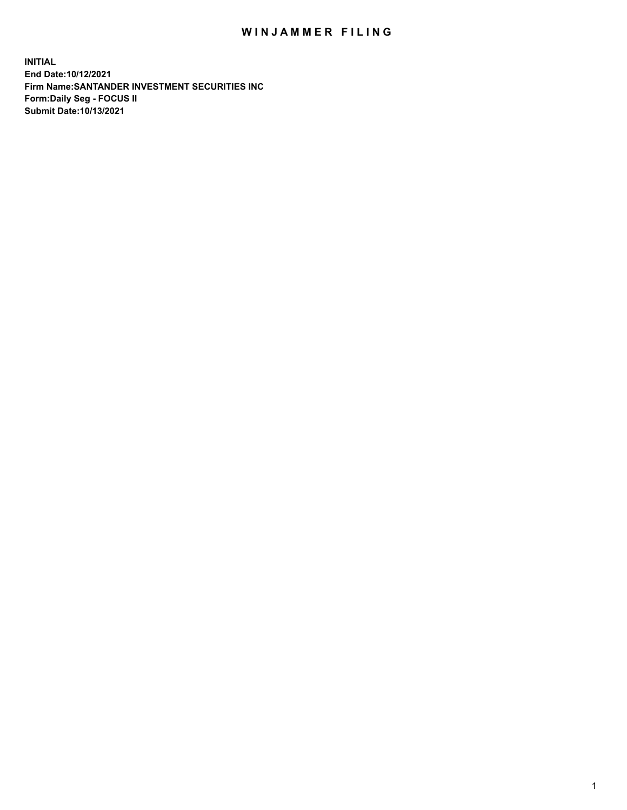## WIN JAMMER FILING

**INITIAL End Date:10/12/2021 Firm Name:SANTANDER INVESTMENT SECURITIES INC Form:Daily Seg - FOCUS II Submit Date:10/13/2021**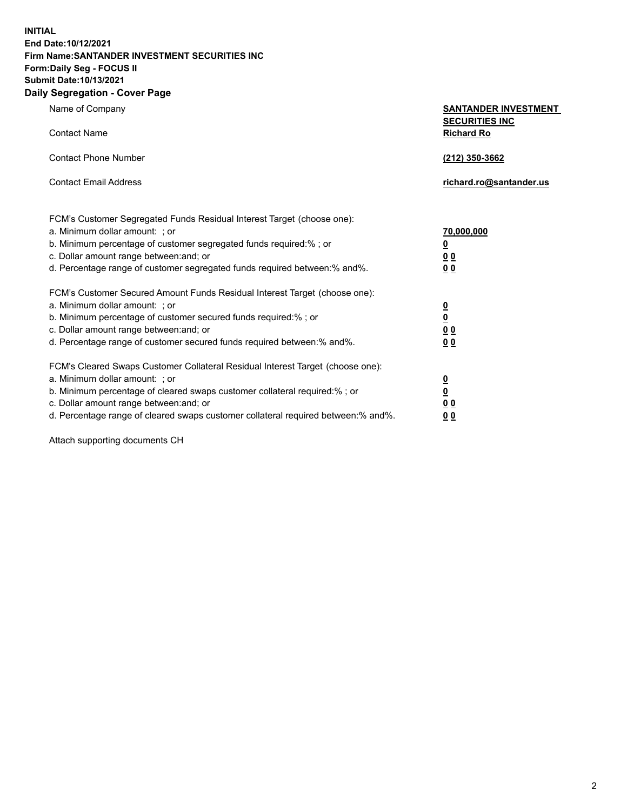**INITIAL End Date:10/12/2021 Firm Name:SANTANDER INVESTMENT SECURITIES INC Form:Daily Seg - FOCUS II Submit Date:10/13/2021 Daily Segregation - Cover Page**

Name of Company **SANTANDER INVESTMENT SECURITIES INC** Contact Name **Richard Ro** Contact Phone Number **(212) 350-3662** Contact Email Address **richard.ro@santander.us** FCM's Customer Segregated Funds Residual Interest Target (choose one): a. Minimum dollar amount: ; or **70,000,000** b. Minimum percentage of customer segregated funds required:% ; or **0** c. Dollar amount range between:and; or **0 0** d. Percentage range of customer segregated funds required between:% and%. **0 0** FCM's Customer Secured Amount Funds Residual Interest Target (choose one): a. Minimum dollar amount: ; or **0** b. Minimum percentage of customer secured funds required:% ; or **0** c. Dollar amount range between:and; or **0 0** d. Percentage range of customer secured funds required between:% and%. **0 0** FCM's Cleared Swaps Customer Collateral Residual Interest Target (choose one): a. Minimum dollar amount: ; or **0** b. Minimum percentage of cleared swaps customer collateral required:% ; or **0** c. Dollar amount range between:and; or **0 0** d. Percentage range of cleared swaps customer collateral required between:% and%. **0 0**

Attach supporting documents CH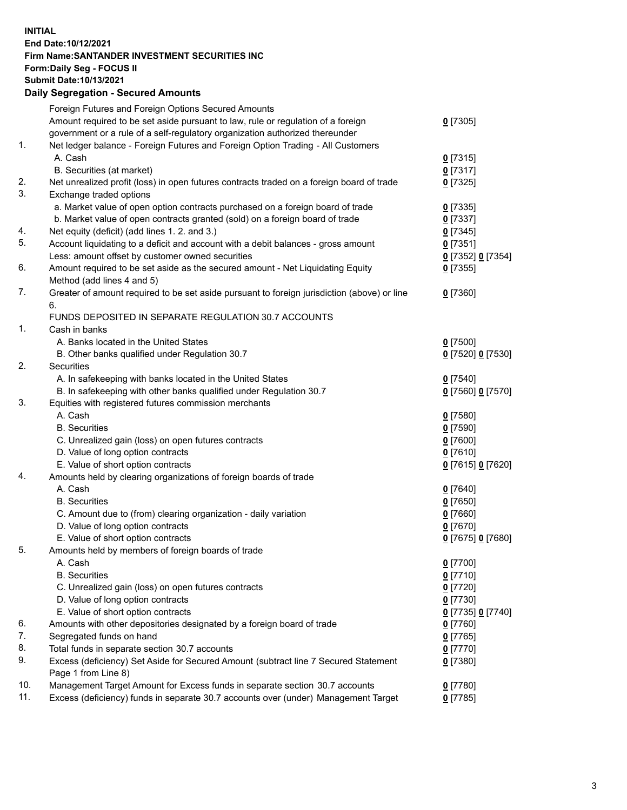## **INITIAL End Date:10/12/2021 Firm Name:SANTANDER INVESTMENT SECURITIES INC Form:Daily Seg - FOCUS II Submit Date:10/13/2021 Daily Segregation - Secured Amounts**

|     | Foreign Futures and Foreign Options Secured Amounts                                         |                   |
|-----|---------------------------------------------------------------------------------------------|-------------------|
|     | Amount required to be set aside pursuant to law, rule or regulation of a foreign            | $0$ [7305]        |
|     | government or a rule of a self-regulatory organization authorized thereunder                |                   |
| 1.  | Net ledger balance - Foreign Futures and Foreign Option Trading - All Customers             |                   |
|     | A. Cash                                                                                     | $0$ [7315]        |
|     | B. Securities (at market)                                                                   | $0$ [7317]        |
| 2.  | Net unrealized profit (loss) in open futures contracts traded on a foreign board of trade   | $0$ [7325]        |
| 3.  | Exchange traded options                                                                     |                   |
|     | a. Market value of open option contracts purchased on a foreign board of trade              | $0$ [7335]        |
|     | b. Market value of open contracts granted (sold) on a foreign board of trade                | $0$ [7337]        |
| 4.  | Net equity (deficit) (add lines 1. 2. and 3.)                                               | $0$ [7345]        |
| 5.  | Account liquidating to a deficit and account with a debit balances - gross amount           | $0$ [7351]        |
|     | Less: amount offset by customer owned securities                                            | 0 [7352] 0 [7354] |
| 6.  | Amount required to be set aside as the secured amount - Net Liquidating Equity              | $0$ [7355]        |
|     | Method (add lines 4 and 5)                                                                  |                   |
| 7.  | Greater of amount required to be set aside pursuant to foreign jurisdiction (above) or line | $0$ [7360]        |
|     | 6.                                                                                          |                   |
|     | FUNDS DEPOSITED IN SEPARATE REGULATION 30.7 ACCOUNTS                                        |                   |
| 1.  | Cash in banks                                                                               |                   |
|     | A. Banks located in the United States                                                       | $0$ [7500]        |
|     | B. Other banks qualified under Regulation 30.7                                              | 0 [7520] 0 [7530] |
| 2.  | Securities                                                                                  |                   |
|     | A. In safekeeping with banks located in the United States                                   | $0$ [7540]        |
|     | B. In safekeeping with other banks qualified under Regulation 30.7                          | 0 [7560] 0 [7570] |
| 3.  | Equities with registered futures commission merchants                                       |                   |
|     | A. Cash                                                                                     | $0$ [7580]        |
|     | <b>B.</b> Securities                                                                        | <u>0</u> [7590]   |
|     | C. Unrealized gain (loss) on open futures contracts                                         | $0$ [7600]        |
|     | D. Value of long option contracts                                                           | $0$ [7610]        |
|     | E. Value of short option contracts                                                          | 0 [7615] 0 [7620] |
| 4.  | Amounts held by clearing organizations of foreign boards of trade                           |                   |
|     | A. Cash                                                                                     | $0$ [7640]        |
|     | <b>B.</b> Securities                                                                        | $0$ [7650]        |
|     | C. Amount due to (from) clearing organization - daily variation                             | $0$ [7660]        |
|     | D. Value of long option contracts                                                           | $0$ [7670]        |
|     | E. Value of short option contracts                                                          | 0 [7675] 0 [7680] |
| 5.  | Amounts held by members of foreign boards of trade                                          |                   |
|     | A. Cash                                                                                     | $0$ [7700]        |
|     | <b>B.</b> Securities                                                                        | $0$ [7710]        |
|     | C. Unrealized gain (loss) on open futures contracts                                         | $0$ [7720]        |
|     | D. Value of long option contracts                                                           | $0$ [7730]        |
|     | E. Value of short option contracts                                                          | 0 [7735] 0 [7740] |
| 6.  | Amounts with other depositories designated by a foreign board of trade                      | $0$ [7760]        |
| 7.  | Segregated funds on hand                                                                    | $0$ [7765]        |
| 8.  | Total funds in separate section 30.7 accounts                                               | $0$ [7770]        |
| 9.  | Excess (deficiency) Set Aside for Secured Amount (subtract line 7 Secured Statement         | 0 [7380]          |
|     | Page 1 from Line 8)                                                                         |                   |
| 10. | Management Target Amount for Excess funds in separate section 30.7 accounts                 | 0 [7780]          |
| 11. | Excess (deficiency) funds in separate 30.7 accounts over (under) Management Target          | $0$ [7785]        |
|     |                                                                                             |                   |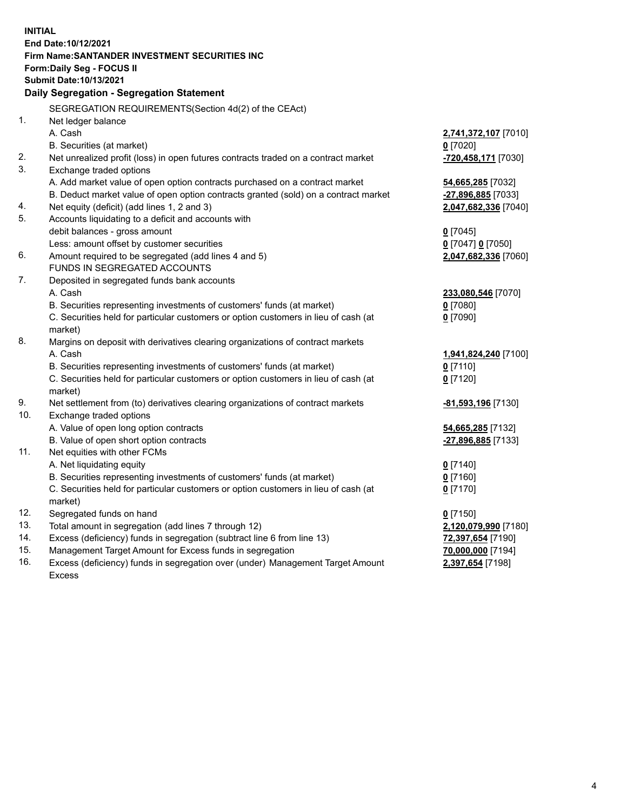| <b>INITIAL</b>                                   |                                                                                     |                      |  |  |
|--------------------------------------------------|-------------------------------------------------------------------------------------|----------------------|--|--|
|                                                  | End Date: 10/12/2021                                                                |                      |  |  |
|                                                  | <b>Firm Name: SANTANDER INVESTMENT SECURITIES INC</b>                               |                      |  |  |
|                                                  | Form: Daily Seg - FOCUS II                                                          |                      |  |  |
|                                                  | Submit Date: 10/13/2021                                                             |                      |  |  |
| <b>Daily Segregation - Segregation Statement</b> |                                                                                     |                      |  |  |
|                                                  | SEGREGATION REQUIREMENTS(Section 4d(2) of the CEAct)                                |                      |  |  |
| 1.                                               | Net ledger balance                                                                  |                      |  |  |
|                                                  | A. Cash                                                                             | 2,741,372,107 [7010] |  |  |
|                                                  | B. Securities (at market)                                                           | $0$ [7020]           |  |  |
| 2.                                               | Net unrealized profit (loss) in open futures contracts traded on a contract market  | -720,458,171 [7030]  |  |  |
| 3.                                               | Exchange traded options                                                             |                      |  |  |
|                                                  | A. Add market value of open option contracts purchased on a contract market         | 54,665,285 [7032]    |  |  |
|                                                  | B. Deduct market value of open option contracts granted (sold) on a contract market | -27,896,885 [7033]   |  |  |
| 4.                                               | Net equity (deficit) (add lines 1, 2 and 3)                                         | 2,047,682,336 [7040] |  |  |
| 5.                                               | Accounts liquidating to a deficit and accounts with                                 |                      |  |  |
|                                                  | debit balances - gross amount                                                       | $0$ [7045]           |  |  |
|                                                  | Less: amount offset by customer securities                                          | 0 [7047] 0 [7050]    |  |  |
| 6.                                               | Amount required to be segregated (add lines 4 and 5)                                | 2,047,682,336 [7060] |  |  |
|                                                  | FUNDS IN SEGREGATED ACCOUNTS                                                        |                      |  |  |
| 7.                                               | Deposited in segregated funds bank accounts                                         |                      |  |  |
|                                                  | A. Cash                                                                             | 233,080,546 [7070]   |  |  |
|                                                  | B. Securities representing investments of customers' funds (at market)              | $0$ [7080]           |  |  |
|                                                  | C. Securities held for particular customers or option customers in lieu of cash (at | $0$ [7090]           |  |  |
|                                                  | market)                                                                             |                      |  |  |
| 8.                                               | Margins on deposit with derivatives clearing organizations of contract markets      |                      |  |  |
|                                                  | A. Cash                                                                             | 1,941,824,240 [7100] |  |  |
|                                                  | B. Securities representing investments of customers' funds (at market)              | $0$ [7110]           |  |  |
|                                                  | C. Securities held for particular customers or option customers in lieu of cash (at | $0$ [7120]           |  |  |
|                                                  | market)                                                                             |                      |  |  |
| 9.                                               | Net settlement from (to) derivatives clearing organizations of contract markets     | -81,593,196 [7130]   |  |  |
| 10.                                              | Exchange traded options                                                             |                      |  |  |
|                                                  | A. Value of open long option contracts                                              | 54,665,285 [7132]    |  |  |
|                                                  | B. Value of open short option contracts                                             | -27,896,885 [7133]   |  |  |
| 11.                                              | Net equities with other FCMs                                                        |                      |  |  |
|                                                  | A. Net liquidating equity                                                           | $0$ [7140]           |  |  |
|                                                  | B. Securities representing investments of customers' funds (at market)              | $0$ [7160]           |  |  |
|                                                  | C. Securities held for particular customers or option customers in lieu of cash (at | $0$ [7170]           |  |  |
|                                                  | market)                                                                             |                      |  |  |
| 12.                                              | Segregated funds on hand                                                            | $0$ [7150]           |  |  |
| 13.                                              | Total amount in segregation (add lines 7 through 12)                                | 2,120,079,990 [7180] |  |  |
| 14.                                              | Excess (deficiency) funds in segregation (subtract line 6 from line 13)             | 72,397,654 [7190]    |  |  |
| 15.                                              | Management Target Amount for Excess funds in segregation                            | 70,000,000 [7194]    |  |  |
| 16.                                              | Excess (deficiency) funds in segregation over (under) Management Target Amount      | 2,397,654 [7198]     |  |  |
|                                                  | <b>Excess</b>                                                                       |                      |  |  |